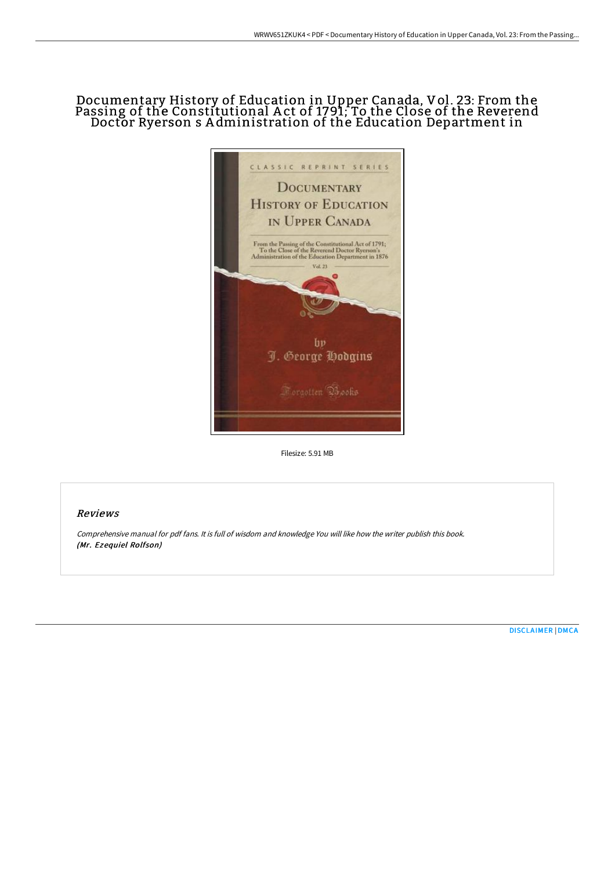## Documentary History of Education in Upper Canada, Vol. 23: From the Passing of the Constitutional A ct of 1791; To the Close of the Reverend Doctor Ryerson s Administration of the Education Department in



Filesize: 5.91 MB

## Reviews

Comprehensive manual for pdf fans. It is full of wisdom and knowledge You will like how the writer publish this book. (Mr. Ezequiel Rolfson)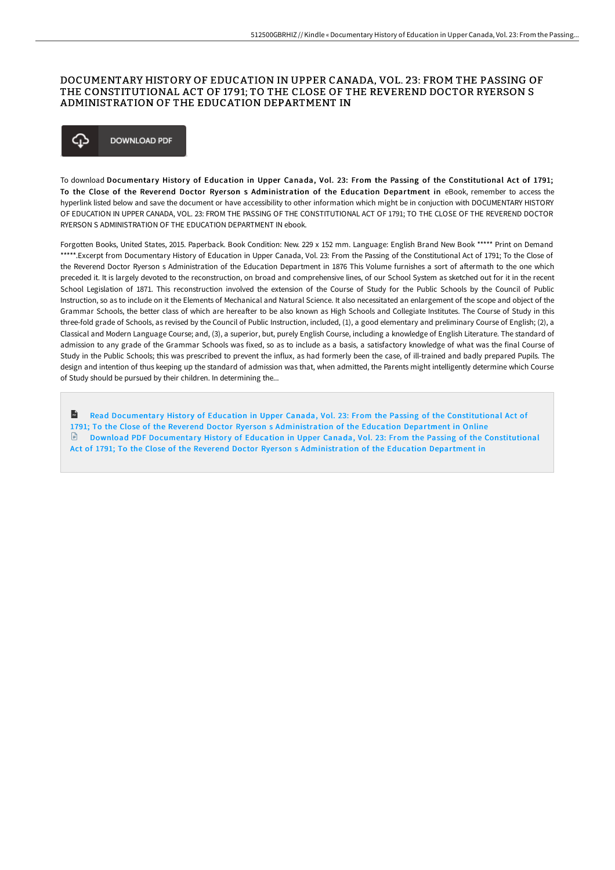## DOCUMENTARY HISTORY OF EDUCATION IN UPPER CANADA, VOL. 23: FROM THE PASSING OF THE CONSTITUTIONAL ACT OF 1791; TO THE CLOSE OF THE REVEREND DOCTOR RYERSON S ADMINISTRATION OF THE EDUCATION DEPARTMENT IN



To download Documentary History of Education in Upper Canada, Vol. 23: From the Passing of the Constitutional Act of 1791; To the Close of the Reverend Doctor Ryerson s Administration of the Education Department in eBook, remember to access the hyperlink listed below and save the document or have accessibility to other information which might be in conjuction with DOCUMENTARY HISTORY OF EDUCATION IN UPPER CANADA, VOL. 23: FROM THE PASSING OF THE CONSTITUTIONAL ACT OF 1791; TO THE CLOSE OF THE REVEREND DOCTOR RYERSON S ADMINISTRATION OF THE EDUCATION DEPARTMENT IN ebook.

Forgotten Books, United States, 2015. Paperback. Book Condition: New. 229 x 152 mm. Language: English Brand New Book \*\*\*\*\* Print on Demand \*\*\*\*\*.Excerpt from Documentary History of Education in Upper Canada, Vol. 23: From the Passing of the Constitutional Act of 1791; To the Close of the Reverend Doctor Ryerson s Administration of the Education Department in 1876 This Volume furnishes a sort of aftermath to the one which preceded it. It is largely devoted to the reconstruction, on broad and comprehensive lines, of our School System as sketched out for it in the recent School Legislation of 1871. This reconstruction involved the extension of the Course of Study for the Public Schools by the Council of Public Instruction, so as to include on it the Elements of Mechanical and Natural Science. It also necessitated an enlargement of the scope and object of the Grammar Schools, the better class of which are hereafter to be also known as High Schools and Collegiate Institutes. The Course of Study in this three-fold grade of Schools, as revised by the Council of Public Instruction, included, (1), a good elementary and preliminary Course of English; (2), a Classical and Modern Language Course; and, (3), a superior, but, purely English Course, including a knowledge of English Literature. The standard of admission to any grade of the Grammar Schools was fixed, so as to include as a basis, a satisfactory knowledge of what was the final Course of Study in the Public Schools; this was prescribed to prevent the influx, as had formerly been the case, of ill-trained and badly prepared Pupils. The design and intention of thus keeping up the standard of admission was that, when admitted, the Parents might intelligently determine which Course of Study should be pursued by their children. In determining the...

 $\mathbf{H}$ Read Documentary History of Education in Upper Canada, Vol. 23: From the Passing of the Constitutional Act of 1791; To the Close of the Reverend Doctor Ryerson s [Administration](http://bookera.tech/documentary-history-of-education-in-upper-canada-2.html) of the Education Department in Online  $\mathbb{R}$ Download PDF Documentary History of Education in Upper Canada, Vol. 23: From the Passing of the Constitutional Act of 1791; To the Close of the Reverend Doctor Ryerson s [Administration](http://bookera.tech/documentary-history-of-education-in-upper-canada-2.html) of the Education Department in